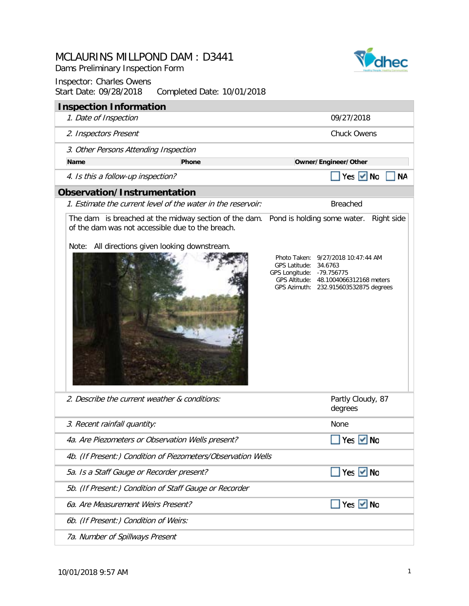Dams Preliminary Inspection Form





| <b>Inspection Information</b>                                                                      |                                                              |                                                                                                                                                                                                                                                                                |
|----------------------------------------------------------------------------------------------------|--------------------------------------------------------------|--------------------------------------------------------------------------------------------------------------------------------------------------------------------------------------------------------------------------------------------------------------------------------|
| 1. Date of Inspection                                                                              |                                                              | 09/27/2018                                                                                                                                                                                                                                                                     |
| 2. Inspectors Present                                                                              |                                                              | <b>Chuck Owens</b>                                                                                                                                                                                                                                                             |
| 3. Other Persons Attending Inspection                                                              |                                                              |                                                                                                                                                                                                                                                                                |
| <b>Name</b>                                                                                        | <b>Phone</b>                                                 | Owner/Engineer/Other                                                                                                                                                                                                                                                           |
| 4. Is this a follow-up inspection?                                                                 |                                                              | Yes $\vee$ No<br><b>NA</b>                                                                                                                                                                                                                                                     |
| <b>Observation/Instrumentation</b>                                                                 |                                                              |                                                                                                                                                                                                                                                                                |
|                                                                                                    | 1. Estimate the current level of the water in the reservoir: | <b>Breached</b>                                                                                                                                                                                                                                                                |
| of the dam was not accessible due to the breach.<br>Note: All directions given looking downstream. |                                                              | The dam is breached at the midway section of the dam. Pond is holding some water.<br>Right side<br>Photo Taken: 9/27/2018 10:47:44 AM<br>GPS Latitude: 34.6763<br>GPS Longitude: - 79.756775<br>GPS Altitude: 48.1004066312168 meters<br>GPS Azimuth: 232.915603532875 degrees |
| 2. Describe the current weather & conditions:                                                      |                                                              | Partly Cloudy, 87<br>degrees                                                                                                                                                                                                                                                   |
| 3. Recent rainfall quantity:                                                                       |                                                              | None                                                                                                                                                                                                                                                                           |
| 4a. Are Piezometers or Observation Wells present?                                                  |                                                              | Yes V No                                                                                                                                                                                                                                                                       |
|                                                                                                    | 4b. (If Present:) Condition of Piezometers/Observation Wells |                                                                                                                                                                                                                                                                                |
| 5a. Is a Staff Gauge or Recorder present?                                                          |                                                              | Yes $\vee$ No                                                                                                                                                                                                                                                                  |
| 5b. (If Present:) Condition of Staff Gauge or Recorder                                             |                                                              |                                                                                                                                                                                                                                                                                |
| 6a. Are Measurement Weirs Present?                                                                 |                                                              | Yes $\vee$ No                                                                                                                                                                                                                                                                  |
| 6b. (If Present:) Condition of Weirs:                                                              |                                                              |                                                                                                                                                                                                                                                                                |
| 7a. Number of Spillways Present                                                                    |                                                              |                                                                                                                                                                                                                                                                                |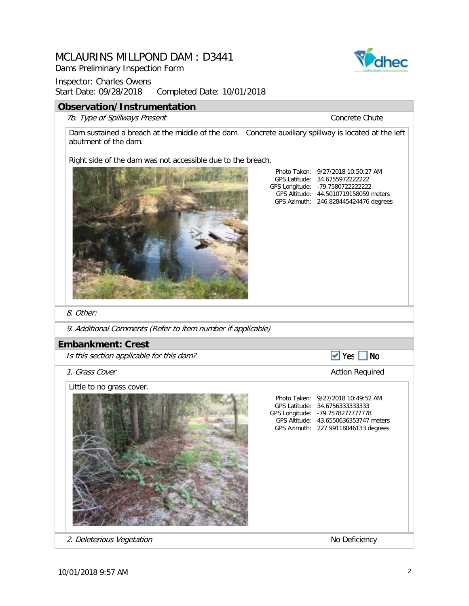Dams Preliminary Inspection Form



#### **Observation/Instrumentation**

7b. Type of Spillways Present Concrete Chute

Dam sustained a breach at the middle of the dam. Concrete auxiliary spillway is located at the left abutment of the dam.

Right side of the dam was not accessible due to the breach.



GPS Latitude: 34.6755972222222 GPS Longitude: GPS Altitude: GPS Azimuth: Photo Taken: 9/27/2018 10:50:27 AM -79.7580722222222 246.828445424476 degrees 44.5010719158059 meters

8. Other:

9. Additional Comments (Refer to item number if applicable)

#### **Embankment: Crest**

Is this section applicable for this dam?

**1. Grass Cover Cover Action Required Cover Action Required** 

Little to no grass cover.



 $\blacktriangleright$  Yes  $\blacksquare$  No

GPS Longitude: -79.7578277777778 2. Deleterious Vegetation No Deficiency

10/01/2018 9:57 AM 2

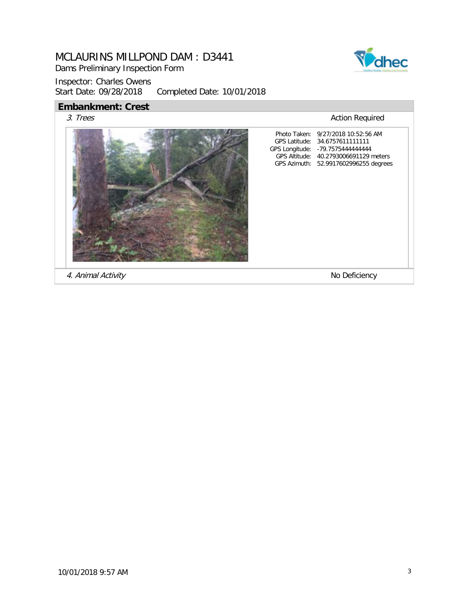Dams Preliminary Inspection Form

Inspector: Charles Owens<br>Start Date: 09/28/2018 Completed Date: 10/01/2018

### **Embankment: Crest**

3. Trees Action Required



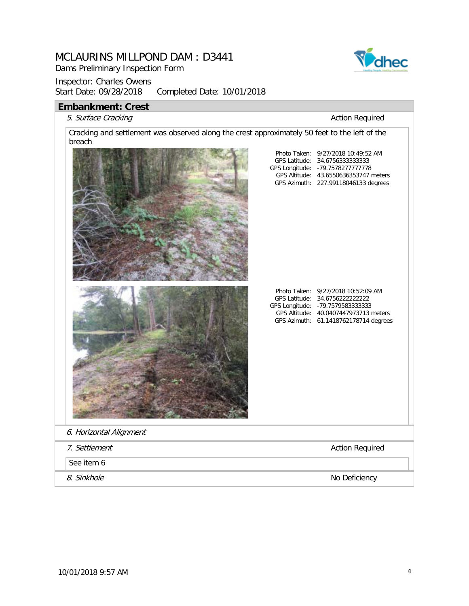Dams Preliminary Inspection Form

### Inspector: Charles Owens<br>Start Date: 09/28/2018 Completed Date: 10/01/2018

# **Embankment: Crest**



| IIINAIINIIIGIIL. VI GJL<br>5. Surface Cracking                                                          | <b>Action Required</b>                                                                                                                                                                      |
|---------------------------------------------------------------------------------------------------------|---------------------------------------------------------------------------------------------------------------------------------------------------------------------------------------------|
| Cracking and settlement was observed along the crest approximately 50 feet to the left of the<br>breach |                                                                                                                                                                                             |
|                                                                                                         | Photo Taken: 9/27/2018 10:49:52 AM<br>GPS Latitude: 34.6756333333333<br>GPS Longitude: - 79.7578277777778<br>GPS Altitude: 43.6550636353747 meters<br>GPS Azimuth: 227.99118046133 degrees  |
|                                                                                                         | Photo Taken: 9/27/2018 10:52:09 AM<br>GPS Latitude: 34.6756222222222<br>GPS Longitude: - 79.7579583333333<br>GPS Altitude: 40.0407447973713 meters<br>GPS Azimuth: 61.1418762178714 degrees |
| 6. Horizontal Alignment                                                                                 |                                                                                                                                                                                             |
| 7. Settlement                                                                                           | <b>Action Required</b>                                                                                                                                                                      |
| See item 6                                                                                              |                                                                                                                                                                                             |
| 8. Sinkhole                                                                                             | No Deficiency                                                                                                                                                                               |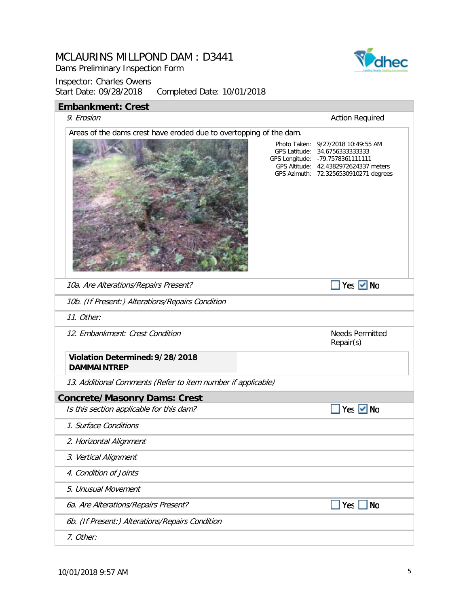Dams Preliminary Inspection Form



| <b>Embankment: Crest</b>                                           |                                                                                                                                                                                              |
|--------------------------------------------------------------------|----------------------------------------------------------------------------------------------------------------------------------------------------------------------------------------------|
| 9. Erosion                                                         | <b>Action Required</b>                                                                                                                                                                       |
| Areas of the dams crest have eroded due to overtopping of the dam. | Photo Taken: 9/27/2018 10:49:55 AM<br>GPS Latitude: 34.67563333333333<br>GPS Longitude: - 79.7578361111111<br>GPS Altitude: 42.4382972624337 meters<br>GPS Azimuth: 72.3256530910271 degrees |
| 10a. Are Alterations/Repairs Present?                              | Yes $\vee$ No                                                                                                                                                                                |
| 10b. (If Present:) Alterations/Repairs Condition                   |                                                                                                                                                                                              |
| 11. Other:                                                         |                                                                                                                                                                                              |
| 12. Embankment: Crest Condition                                    | <b>Needs Permitted</b><br>Repair(s)                                                                                                                                                          |
| Violation Determined: 9/28/2018<br><b>DAMMAINTREP</b>              |                                                                                                                                                                                              |
| 13. Additional Comments (Refer to item number if applicable)       |                                                                                                                                                                                              |
| <b>Concrete/Masonry Dams: Crest</b>                                |                                                                                                                                                                                              |
| Is this section applicable for this dam?                           | Yes $\vee$ No                                                                                                                                                                                |
| 1. Surface Conditions                                              |                                                                                                                                                                                              |
| 2. Horizontal Alignment                                            |                                                                                                                                                                                              |
| 3. Vertical Alignment                                              |                                                                                                                                                                                              |
| 4. Condition of Joints                                             |                                                                                                                                                                                              |
| 5. Unusual Movement                                                |                                                                                                                                                                                              |
| 6a. Are Alterations/Repairs Present?                               | <b>No</b><br>Yes $[$                                                                                                                                                                         |
| 6b. (If Present:) Alterations/Repairs Condition                    |                                                                                                                                                                                              |
| 7. Other:                                                          |                                                                                                                                                                                              |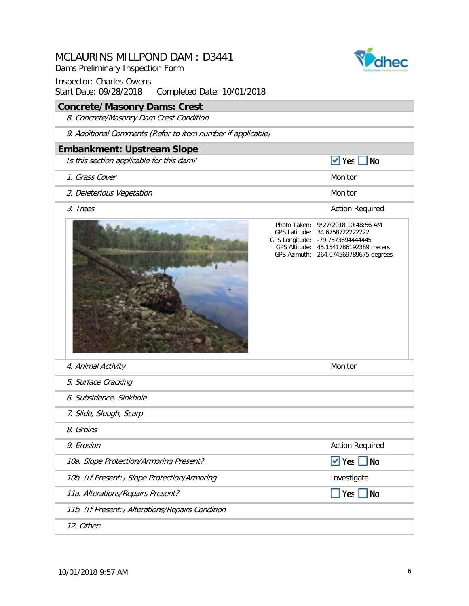Dams Preliminary Inspection Form

Inspector: Charles Owens Start Date: 09/28/2018 Completed Date: 10/01/2018

### **Concrete/Masonry Dams: Crest**

8. Concrete/Masonry Dam Crest Condition

9. Additional Comments (Refer to item number if applicable)

#### **Embankment: Upstream Slope**

Is this section applicable for this dam?

- 1. Grass Cover
- 2. Deleterious Vegetation and a control of the Monitor Monitor
- 3. Trees Action Required Action Required



#### GPS Latitude: 34.6758722222222 GPS Longitude: -79.7573694444445 GPS Altitude: Photo Taken: 9/27/2018 10:48:56 AM

GPS Azimuth: 264.074569789675 degrees 45.1541786192389 meters

 $\blacktriangleright$  Yes  $\blacksquare$  No

| 4. Animal Activity                               | Monitor                |  |
|--------------------------------------------------|------------------------|--|
| 5. Surface Cracking                              |                        |  |
| 6. Subsidence, Sinkhole                          |                        |  |
| 7. Slide, Slough, Scarp                          |                        |  |
| 8. Groins                                        |                        |  |
| 9. Erosion                                       | <b>Action Required</b> |  |
| 10a. Slope Protection/Armoring Present?          | $\vee$ Yes No          |  |
| 10b. (If Present:) Slope Protection/Armoring     | Investigate            |  |
| 11a. Alterations/Repairs Present?                | Yes No                 |  |
| 11b. (If Present:) Alterations/Repairs Condition |                        |  |
| 12. Other:                                       |                        |  |
|                                                  |                        |  |

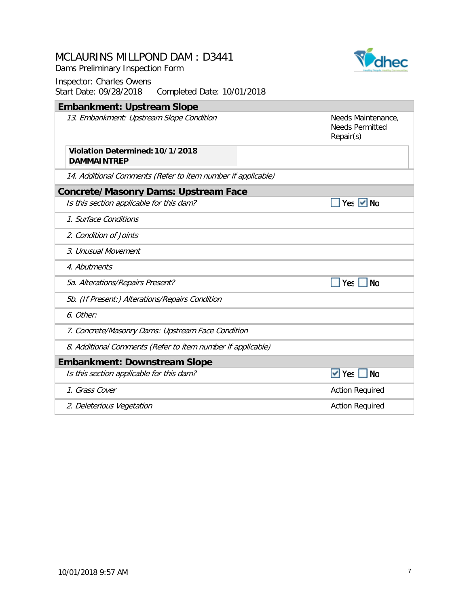Dams Preliminary Inspection Form

Vahec

| <b>Embankment: Upstream Slope</b>                            |                                                           |
|--------------------------------------------------------------|-----------------------------------------------------------|
| 13. Embankment: Upstream Slope Condition                     | Needs Maintenance,<br><b>Needs Permitted</b><br>Repair(s) |
| Violation Determined: 10/1/2018<br><b>DAMMAINTREP</b>        |                                                           |
| 14. Additional Comments (Refer to item number if applicable) |                                                           |
| <b>Concrete/Masonry Dams: Upstream Face</b>                  |                                                           |
| Is this section applicable for this dam?                     | Yes $\vee$ No                                             |
| 1. Surface Conditions                                        |                                                           |
| 2. Condition of Joints                                       |                                                           |
| 3. Unusual Movement                                          |                                                           |
| 4. Abutments                                                 |                                                           |
| 5a. Alterations/Repairs Present?                             | <b>No</b><br>Yes                                          |
| 5b. (If Present:) Alterations/Repairs Condition              |                                                           |
| 6. Other:                                                    |                                                           |
| 7. Concrete/Masonry Dams: Upstream Face Condition            |                                                           |
| 8. Additional Comments (Refer to item number if applicable)  |                                                           |
| <b>Embankment: Downstream Slope</b>                          |                                                           |
| Is this section applicable for this dam?                     | <b>No</b><br>$\vee$ Yes                                   |
| 1. Grass Cover                                               | <b>Action Required</b>                                    |
| 2. Deleterious Vegetation                                    | <b>Action Required</b>                                    |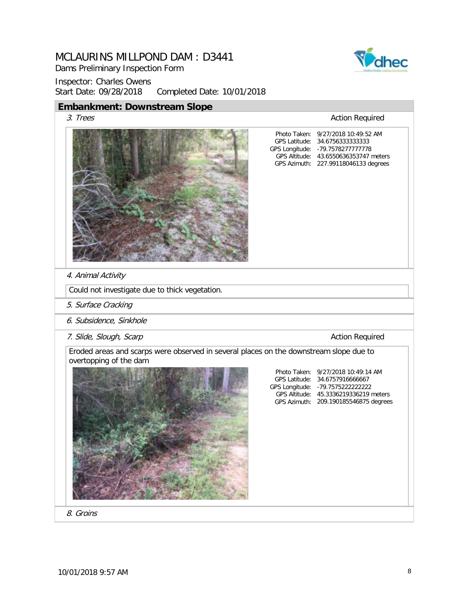Dams Preliminary Inspection Form

Inspector: Charles Owens Start Date: 09/28/2018 Completed Date: 10/01/2018

### **Embankment: Downstream Slope**



3. Trees Action Required

GPS Latitude: GPS Longitude: GPS Altitude: 43.6550636353747 meters GPS Azimuth: 227.99118046133 degrees Photo Taken: 9/27/2018 10:49:52 AM 34.6756333333333 -79.7578277777778

GPS Latitude: 34.6757916666667 GPS Longitude: -79.7575222222222 GPS Altitude: 45.3336219336219 meters GPS Azimuth: 209.190185546875 degrees

Photo Taken: 9/27/2018 10:49:14 AM

4. Animal Activity

Could not investigate due to thick vegetation.

- 5. Surface Cracking
- 6. Subsidence, Sinkhole
- 7. Slide, Slough, Scarp **Action Required**

Eroded areas and scarps were observed in several places on the downstream slope due to overtopping of the dam



8. Groins

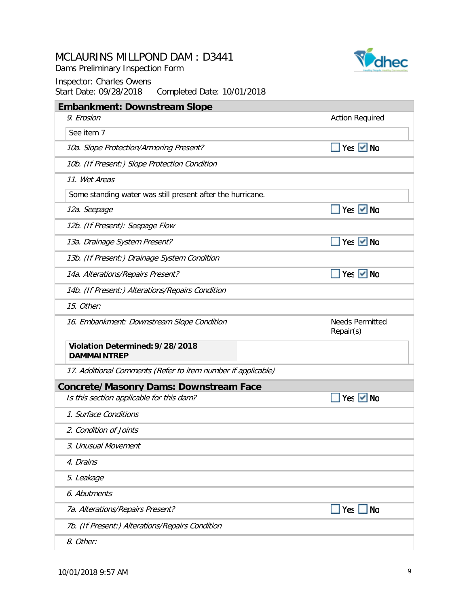Dams Preliminary Inspection Form



| <b>Embankment: Downstream Slope</b>                          |                                     |
|--------------------------------------------------------------|-------------------------------------|
| 9. Erosion                                                   | <b>Action Required</b>              |
| See item 7                                                   |                                     |
| 10a. Slope Protection/Armoring Present?                      | Yes $\vee$ No                       |
| 10b. (If Present:) Slope Protection Condition                |                                     |
| 11. Wet Areas                                                |                                     |
| Some standing water was still present after the hurricane.   |                                     |
| 12a. Seepage                                                 | Yes $\vee$ No                       |
| 12b. (If Present): Seepage Flow                              |                                     |
| 13a. Drainage System Present?                                | Yes $\vee$ No                       |
| 13b. (If Present:) Drainage System Condition                 |                                     |
| 14a. Alterations/Repairs Present?                            | Yes $\vee$ No                       |
| 14b. (If Present:) Alterations/Repairs Condition             |                                     |
| 15. Other:                                                   |                                     |
| 16. Embankment: Downstream Slope Condition                   | <b>Needs Permitted</b><br>Repair(s) |
| Violation Determined: 9/28/2018<br><b>DAMMAINTREP</b>        |                                     |
| 17. Additional Comments (Refer to item number if applicable) |                                     |
| <b>Concrete/Masonry Dams: Downstream Face</b>                |                                     |
| Is this section applicable for this dam?                     | <b>No</b><br>Yes                    |
| 1. Surface Conditions                                        |                                     |
| 2. Condition of Joints                                       |                                     |
| 3. Unusual Movement                                          |                                     |
| 4. Drains                                                    |                                     |
| 5. Leakage                                                   |                                     |
| 6. Abutments                                                 |                                     |
| 7a. Alterations/Repairs Present?                             | Yes<br><b>No</b>                    |
| 7b. (If Present:) Alterations/Repairs Condition              |                                     |
| 8. Other:                                                    |                                     |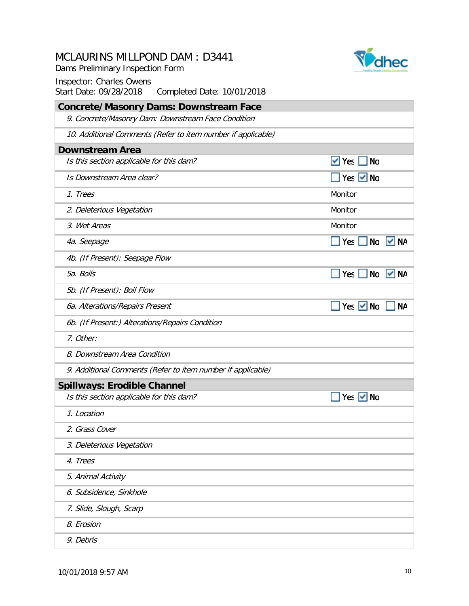Dams Preliminary Inspection Form



| <b>Concrete/Masonry Dams: Downstream Face</b>                |                                 |
|--------------------------------------------------------------|---------------------------------|
| 9. Concrete/Masonry Dam: Downstream Face Condition           |                                 |
| 10. Additional Comments (Refer to item number if applicable) |                                 |
| <b>Downstream Area</b>                                       |                                 |
| Is this section applicable for this dam?                     | $\vee$ Yes<br><b>No</b>         |
| Is Downstream Area clear?                                    | $Yes$ $V$ No                    |
| 1. Trees                                                     | Monitor                         |
| 2. Deleterious Vegetation                                    | Monitor                         |
| 3. Wet Areas                                                 | Monitor                         |
| 4a. Seepage                                                  | $\Box$ Yes<br><b>No</b><br>  NA |
| 4b. (If Present): Seepage Flow                               |                                 |
| 5a. Boils                                                    | Yes No<br>V NA                  |
| 5b. (If Present): Boil Flow                                  |                                 |
| 6a. Alterations/Repairs Present                              | Yes Mo<br><b>NA</b>             |
| 6b. (If Present:) Alterations/Repairs Condition              |                                 |
| 7. Other:                                                    |                                 |
| 8. Downstream Area Condition                                 |                                 |
| 9. Additional Comments (Refer to item number if applicable)  |                                 |
| <b>Spillways: Erodible Channel</b>                           |                                 |
| Is this section applicable for this dam?                     | Yes $\vee$ No                   |
| 1. Location                                                  |                                 |
| 2. Grass Cover                                               |                                 |
| 3. Deleterious Vegetation                                    |                                 |
| 4. Trees                                                     |                                 |
| 5. Animal Activity                                           |                                 |
| 6. Subsidence, Sinkhole                                      |                                 |
| 7. Slide, Slough, Scarp                                      |                                 |
| 8. Erosion                                                   |                                 |
| 9. Debris                                                    |                                 |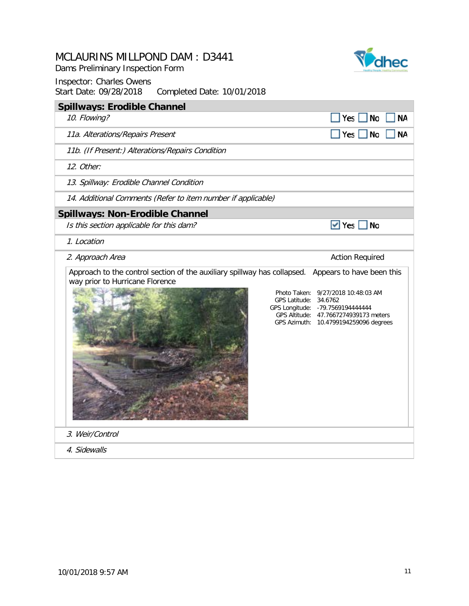Dams Preliminary Inspection Form



| <b>Spillways: Erodible Channel</b>                                                                          |                                                                                                                                                                                                                 |
|-------------------------------------------------------------------------------------------------------------|-----------------------------------------------------------------------------------------------------------------------------------------------------------------------------------------------------------------|
| 10. Flowing?                                                                                                | Yes<br><b>NA</b><br>No                                                                                                                                                                                          |
| 11a. Alterations/Repairs Present                                                                            | Yes<br><b>No</b><br><b>NA</b>                                                                                                                                                                                   |
| 11b. (If Present:) Alterations/Repairs Condition                                                            |                                                                                                                                                                                                                 |
| 12. Other:                                                                                                  |                                                                                                                                                                                                                 |
| 13. Spillway: Erodible Channel Condition                                                                    |                                                                                                                                                                                                                 |
| 14. Additional Comments (Refer to item number if applicable)                                                |                                                                                                                                                                                                                 |
| <b>Spillways: Non-Erodible Channel</b>                                                                      |                                                                                                                                                                                                                 |
| Is this section applicable for this dam?                                                                    | $\vee$ Yes<br><b>No</b>                                                                                                                                                                                         |
| 1. Location                                                                                                 |                                                                                                                                                                                                                 |
| 2. Approach Area                                                                                            | <b>Action Required</b>                                                                                                                                                                                          |
| Approach to the control section of the auxiliary spillway has collapsed.<br>way prior to Hurricane Florence | Appears to have been this<br>Photo Taken: 9/27/2018 10:48:03 AM<br>GPS Latitude: 34.6762<br>GPS Longitude: - 79.7569194444444<br>GPS Altitude: 47.7667274939173 meters<br>GPS Azimuth: 10.4799194259096 degrees |
| 3. Weir/Control                                                                                             |                                                                                                                                                                                                                 |
| 4. Sidewalls                                                                                                |                                                                                                                                                                                                                 |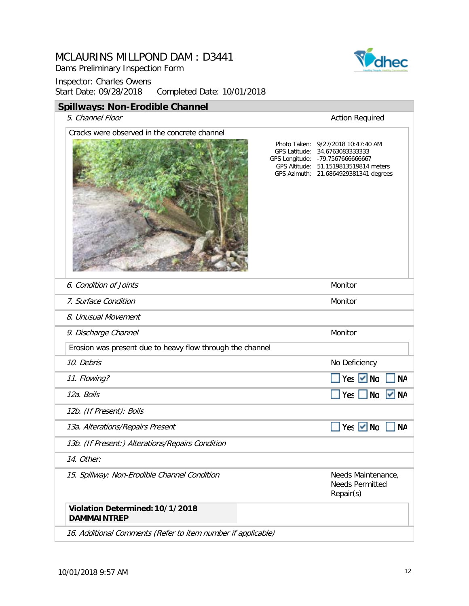Dams Preliminary Inspection Form

Inspector: Charles Owens Start Date: 09/28/2018 Completed Date: 10/01/2018

### **Spillways: Non-Erodible Channel**

#### 5. Channel Floor **Action Required**

| Cracks were observed in the concrete channel                 | Photo Taken: 9/27/2018 10:47:40 AM<br>GPS Latitude: 34.6763083333333<br>GPS Longitude: - 79.7567666666667<br>GPS Altitude: 51.1519813519814 meters<br>GPS Azimuth: 21.6864929381341 degrees |
|--------------------------------------------------------------|---------------------------------------------------------------------------------------------------------------------------------------------------------------------------------------------|
|                                                              |                                                                                                                                                                                             |
| 6. Condition of Joints                                       | Monitor                                                                                                                                                                                     |
| 7. Surface Condition                                         | Monitor                                                                                                                                                                                     |
| 8. Unusual Movement                                          |                                                                                                                                                                                             |
| 9. Discharge Channel                                         | Monitor                                                                                                                                                                                     |
| Erosion was present due to heavy flow through the channel    |                                                                                                                                                                                             |
| 10. Debris                                                   | No Deficiency                                                                                                                                                                               |
| 11. Flowing?                                                 | $Yes$ $V$ No<br><b>NA</b>                                                                                                                                                                   |
| 12a. Boils                                                   | $\blacksquare$ Yes $\blacksquare$ No<br>$\vee$ NA                                                                                                                                           |
| 12b. (If Present): Boils                                     |                                                                                                                                                                                             |
| 13a. Alterations/Repairs Present                             | Yes <b>M</b> No<br><b>NA</b>                                                                                                                                                                |
| 13b. (If Present:) Alterations/Repairs Condition             |                                                                                                                                                                                             |
| 14. Other:                                                   |                                                                                                                                                                                             |
| 15. Spillway: Non-Erodible Channel Condition                 | Needs Maintenance,<br><b>Needs Permitted</b><br>Repair(s)                                                                                                                                   |
| Violation Determined: 10/1/2018<br><b>DAMMAINTREP</b>        |                                                                                                                                                                                             |
| 16. Additional Comments (Refer to item number if applicable) |                                                                                                                                                                                             |

 $\overline{\textbf{v}}$ dhec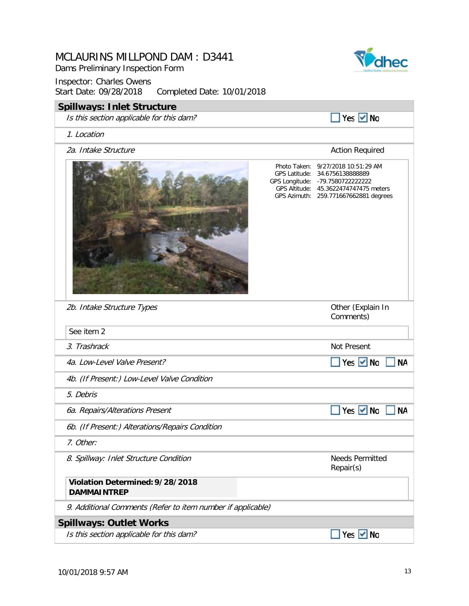| MCLAURINS MILLPOND DAM: D3441<br>Dams Preliminary Inspection Form<br><b>Inspector: Charles Owens</b><br>Start Date: 09/28/2018<br>Completed Date: 10/01/2018 |                                                                                                                                                                                             |
|--------------------------------------------------------------------------------------------------------------------------------------------------------------|---------------------------------------------------------------------------------------------------------------------------------------------------------------------------------------------|
| <b>Spillways: Inlet Structure</b>                                                                                                                            |                                                                                                                                                                                             |
| Is this section applicable for this dam?                                                                                                                     | Yes V No                                                                                                                                                                                    |
| 1. Location                                                                                                                                                  |                                                                                                                                                                                             |
| 2a. Intake Structure                                                                                                                                         | <b>Action Required</b>                                                                                                                                                                      |
|                                                                                                                                                              | Photo Taken: 9/27/2018 10:51:29 AM<br>GPS Latitude: 34.6756138888889<br>GPS Longitude: - 79.7580722222222<br>GPS Altitude: 45.3622474747475 meters<br>GPS Azimuth: 259.771667662881 degrees |
| 2b. Intake Structure Types                                                                                                                                   | Other (Explain In<br>Comments)                                                                                                                                                              |
| See item 2                                                                                                                                                   |                                                                                                                                                                                             |
| 3. Trashrack                                                                                                                                                 | Not Present                                                                                                                                                                                 |
| 4a. Low-Level Valve Present?                                                                                                                                 | No Ves V No<br><b>NA</b>                                                                                                                                                                    |
| 4b. (If Present:) Low-Level Valve Condition                                                                                                                  |                                                                                                                                                                                             |
| 5. Debris                                                                                                                                                    |                                                                                                                                                                                             |
| 6a. Repairs/Alterations Present                                                                                                                              | Yes $\vee$ No<br>NΑ                                                                                                                                                                         |
| 6b. (If Present:) Alterations/Repairs Condition                                                                                                              |                                                                                                                                                                                             |
| 7. Other:                                                                                                                                                    |                                                                                                                                                                                             |
| 8. Spillway: Inlet Structure Condition                                                                                                                       | <b>Needs Permitted</b><br>Repair(s)                                                                                                                                                         |
| Violation Determined: 9/28/2018<br><b>DAMMAINTREP</b>                                                                                                        |                                                                                                                                                                                             |
| 9. Additional Comments (Refer to item number if applicable)                                                                                                  |                                                                                                                                                                                             |
| <b>Spillways: Outlet Works</b>                                                                                                                               |                                                                                                                                                                                             |
| Is this section applicable for this dam?                                                                                                                     | Yes $\vee$ No                                                                                                                                                                               |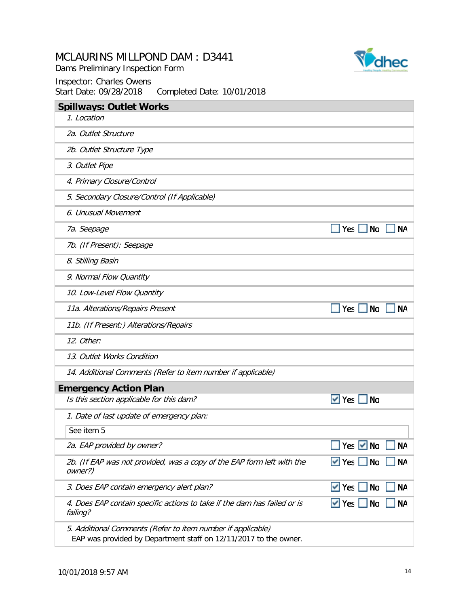Dams Preliminary Inspection Form





| <b>Spillways: Outlet Works</b>                                                                                                  |                                      |
|---------------------------------------------------------------------------------------------------------------------------------|--------------------------------------|
| 1. Location                                                                                                                     |                                      |
| 2a. Outlet Structure                                                                                                            |                                      |
| 2b. Outlet Structure Type                                                                                                       |                                      |
| 3. Outlet Pipe                                                                                                                  |                                      |
| 4. Primary Closure/Control                                                                                                      |                                      |
| 5. Secondary Closure/Control (If Applicable)                                                                                    |                                      |
| 6. Unusual Movement                                                                                                             |                                      |
| 7a. Seepage                                                                                                                     | <b>No</b><br><b>NA</b><br>$Yes$      |
| 7b. (If Present): Seepage                                                                                                       |                                      |
| 8. Stilling Basin                                                                                                               |                                      |
| 9. Normal Flow Quantity                                                                                                         |                                      |
| 10. Low-Level Flow Quantity                                                                                                     |                                      |
| 11a. Alterations/Repairs Present                                                                                                | $Yes \tN$<br>ΝA                      |
| 11b. (If Present:) Alterations/Repairs                                                                                          |                                      |
| 12. Other:                                                                                                                      |                                      |
| 13. Outlet Works Condition                                                                                                      |                                      |
| 14. Additional Comments (Refer to item number if applicable)                                                                    |                                      |
| <b>Emergency Action Plan</b>                                                                                                    |                                      |
| Is this section applicable for this dam?                                                                                        | $\vee$ Yes<br>No                     |
| 1. Date of last update of emergency plan:                                                                                       |                                      |
| See item 5                                                                                                                      |                                      |
| 2a. EAP provided by owner?                                                                                                      | <b>NA</b><br>Yes $ $<br>No           |
| 2b. (If EAP was not provided, was a copy of the EAP form left with the<br>owner?)                                               | <b>NA</b><br>$\vee$ Yes<br>No        |
| 3. Does EAP contain emergency alert plan?                                                                                       | $\vee$ Yes<br><b>NA</b><br><b>No</b> |
| 4. Does EAP contain specific actions to take if the dam has failed or is<br>failing?                                            | <b>NA</b><br>$\vee$ Yes<br>No        |
| 5. Additional Comments (Refer to item number if applicable)<br>EAP was provided by Department staff on 12/11/2017 to the owner. |                                      |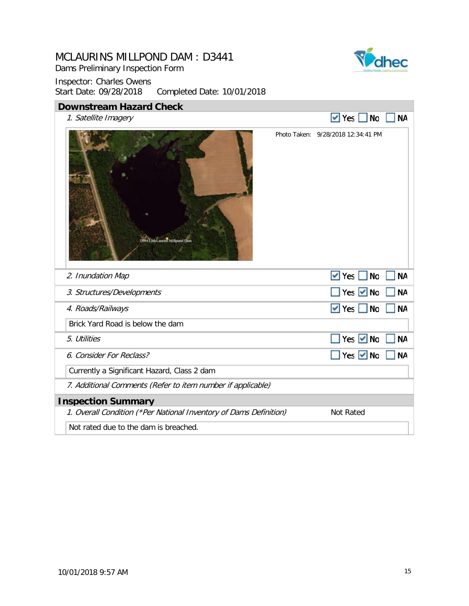Dams Preliminary Inspection Form



| <b>Downstream Hazard Check</b>                                    |  |                                    |           |  |  |
|-------------------------------------------------------------------|--|------------------------------------|-----------|--|--|
| 1. Satellite Imagery                                              |  | $\vee$ Yes<br><b>No</b>            | <b>NA</b> |  |  |
| 19844 McLaunns Millpond Dam                                       |  | Photo Taken: 9/28/2018 12:34:41 PM |           |  |  |
| 2. Inundation Map                                                 |  | $\vee$ Yes<br><b>No</b>            | <b>NA</b> |  |  |
| 3. Structures/Developments                                        |  | Yes $\vee$ No                      | <b>NA</b> |  |  |
| 4. Roads/Railways                                                 |  | $\vee$ Yes<br>$\blacksquare$ No    | <b>NA</b> |  |  |
| Brick Yard Road is below the dam                                  |  |                                    |           |  |  |
| 5. Utilities                                                      |  | Yes $\vee$ No                      | <b>NA</b> |  |  |
| 6. Consider For Reclass?                                          |  | Yes $\vee$ No                      | <b>NA</b> |  |  |
| Currently a Significant Hazard, Class 2 dam                       |  |                                    |           |  |  |
| 7. Additional Comments (Refer to item number if applicable)       |  |                                    |           |  |  |
| <b>Inspection Summary</b>                                         |  |                                    |           |  |  |
| 1. Overall Condition (*Per National Inventory of Dams Definition) |  | Not Rated                          |           |  |  |
| Not rated due to the dam is breached.                             |  |                                    |           |  |  |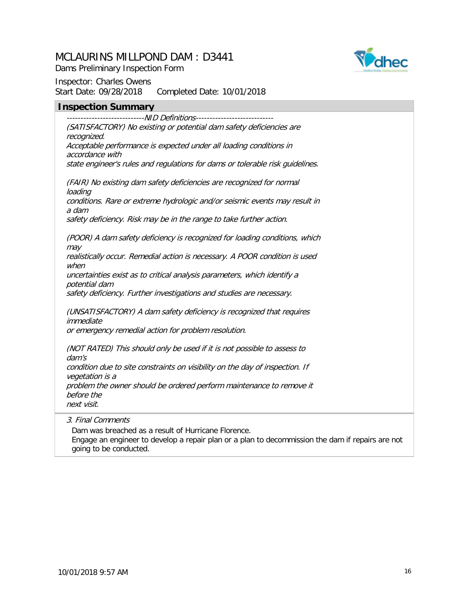

Dams Preliminary Inspection Form

Inspector: Charles Owens Start Date: 09/28/2018 Completed Date: 10/01/2018

#### **Inspection Summary**

----------------------------NID Definitions---------------------------- (SATISFACTORY) No existing or potential dam safety deficiencies are recognized. Acceptable performance is expected under all loading conditions in accordance with state engineer's rules and regulations for dams or tolerable risk guidelines.

(FAIR) No existing dam safety deficiencies are recognized for normal loading conditions. Rare or extreme hydrologic and/or seismic events may result in a dam

safety deficiency. Risk may be in the range to take further action.

(POOR) A dam safety deficiency is recognized for loading conditions, which may

realistically occur. Remedial action is necessary. A POOR condition is used when

uncertainties exist as to critical analysis parameters, which identify a potential dam

safety deficiency. Further investigations and studies are necessary.

(UNSATISFACTORY) A dam safety deficiency is recognized that requires immediate

or emergency remedial action for problem resolution.

(NOT RATED) This should only be used if it is not possible to assess to dam's condition due to site constraints on visibility on the day of inspection. If vegetation is a

problem the owner should be ordered perform maintenance to remove it before the next visit.

3. Final Comments

Dam was breached as a result of Hurricane Florence.

Engage an engineer to develop a repair plan or a plan to decommission the dam if repairs are not going to be conducted.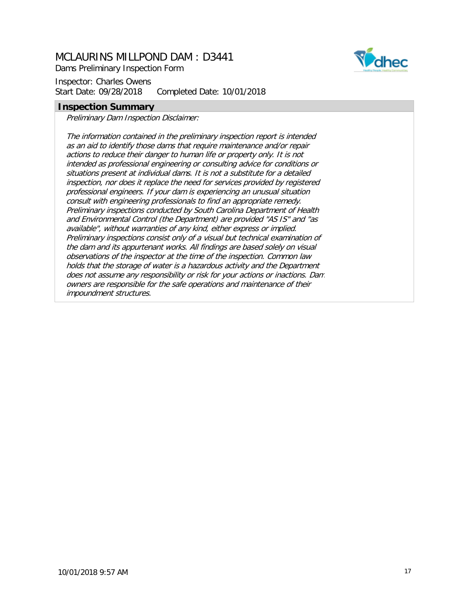Dams Preliminary Inspection Form

Inspector: Charles Owens Start Date: 09/28/2018 Completed Date: 10/01/2018

#### **Inspection Summary**

Preliminary Dam Inspection Disclaimer:

The information contained in the preliminary inspection report is intended as an aid to identify those dams that require maintenance and/or repair actions to reduce their danger to human life or property only. It is not intended as professional engineering or consulting advice for conditions or situations present at individual dams. It is not a substitute for a detailed inspection, nor does it replace the need for services provided by registered professional engineers. If your dam is experiencing an unusual situation consult with engineering professionals to find an appropriate remedy. Preliminary inspections conducted by South Carolina Department of Health and Environmental Control (the Department) are provided "AS IS" and "as available", without warranties of any kind, either express or implied. Preliminary inspections consist only of a visual but technical examination of the dam and its appurtenant works. All findings are based solely on visual observations of the inspector at the time of the inspection. Common law holds that the storage of water is a hazardous activity and the Department does not assume any responsibility or risk for your actions or inactions. Dam owners are responsible for the safe operations and maintenance of their impoundment structures.